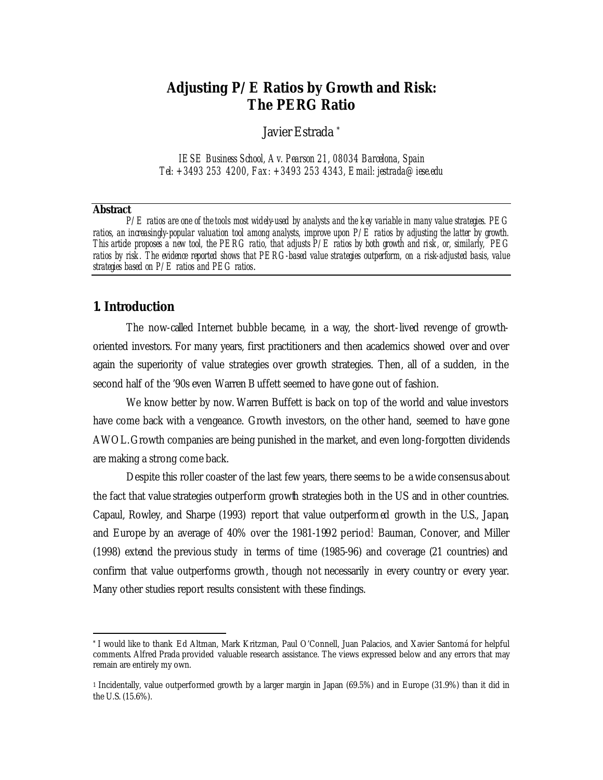## **Adjusting P/E Ratios by Growth and Risk: The PERG Ratio**

Javier Estrada \*

*IESE Business School, Av. Pearson 21, 08034 Barcelona, Spain Tel: +3493 253 4200, Fax: +3493 253 4343, Email: jestrada@iese.edu*

#### **Abstract**

l

*P/E ratios are one of the tools most widely-used by analysts and the key variable in many value strategies. PEG ratios, an increasingly-popular valuation tool among analysts, improve upon P/E ratios by adjusting the latter by growth. This article proposes a new tool, the PERG ratio, that adjusts P/E ratios by both growth and risk, or, similarly, PEG ratios by risk. The evidence reported shows that PERG-based value strategies outperform, on a risk-adjusted basis, value strategies based on P/E ratios and PEG ratios*.

## **1. Introduction**

The now-called Internet bubble became, in a way, the short-lived revenge of growthoriented investors. For many years, first practitioners and then academics showed over and over again the superiority of value strategies over growth strategies. Then, all of a sudden, in the second half of the '90s even Warren B uffett seemed to have gone out of fashion.

We know better by now. Warren Buffett is back on top of the world and value investors have come back with a vengeance. Growth investors, on the other hand, seemed to have gone AWOL. Growth companies are being punished in the market, and even long-forgotten dividends are making a strong come back.

Despite this roller coaster of the last few years, there seems to be a wide consensus about the fact that value strategies outperform growth strategies both in the US and in other countries. Capaul, Rowley, and Sharpe (1993) report that value outperformed growth in the U.S., Japan, and Europe by an average of 40% over the 1981-1992 period. Bauman, Conover, and Miller (1998) extend the previous study in terms of time (1985-96) and coverage (21 countries) and confirm that value outperforms growth, though not necessarily in every country or every year. Many other studies report results consistent with these findings.

<sup>\*</sup> I would like to thank Ed Altman, Mark Kritzman, Paul O'Connell, Juan Palacios, and Xavier Santomá for helpful comments. Alfred Prada provided valuable research assistance. The views expressed below and any errors that may remain are entirely my own.

<sup>1</sup> Incidentally, value outperformed growth by a larger margin in Japan (69.5%) and in Europe (31.9%) than it did in the U.S. (15.6%).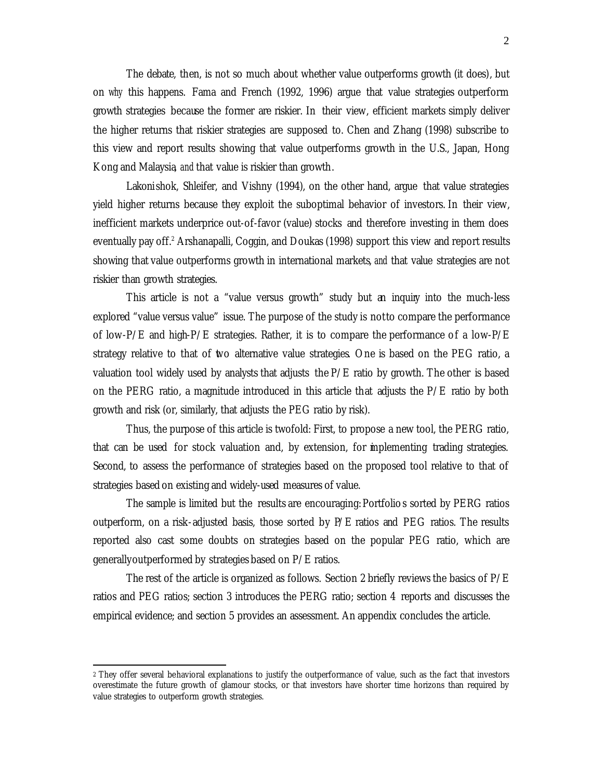The debate, then, is not so much about whether value outperforms growth (it does), but on *why* this happens. Fama and French (1992, 1996) argue that value strategies outperform growth strategies because the former are riskier. In their view, efficient markets simply deliver the higher returns that riskier strategies are supposed to. Chen and Zhang (1998) subscribe to this view and report results showing that value outperforms growth in the U.S., Japan, Hong Kong and Malaysia, *and* that value is riskier than growth.

Lakonishok, Shleifer, and Vishny (1994), on the other hand, argue that value strategies yield higher returns because they exploit the suboptimal behavior of investors. In their view, inefficient markets underprice out-of-favor (value) stocks and therefore investing in them does eventually pay off.<sup>2</sup> Arshanapalli, Coggin, and Doukas (1998) support this view and report results showing that value outperforms growth in international markets, *and* that value strategies are not riskier than growth strategies.

This article is not a "value versus growth" study but an inquiry into the much-less explored "value versus value" issue. The purpose of the study is not to compare the performance of low-P/E and high-P/E strategies. Rather, it is to compare the performance of a low-P/E strategy relative to that of two alternative value strategies. One is based on the PEG ratio, a valuation tool widely used by analysts that adjusts the  $P/E$  ratio by growth. The other is based on the PERG ratio, a magnitude introduced in this article that adjusts the  $P/E$  ratio by both growth and risk (or, similarly, that adjusts the PEG ratio by risk).

Thus, the purpose of this article is twofold: First, to propose a new tool, the PERG ratio, that can be used for stock valuation and, by extension, for implementing trading strategies. Second, to assess the performance of strategies based on the proposed tool relative to that of strategies based on existing and widely-used measures of value.

The sample is limited but the results are encouraging: Portfolio s sorted by PERG ratios outperform, on a risk-adjusted basis, those sorted by P/E ratios and PEG ratios. The results reported also cast some doubts on strategies based on the popular PEG ratio, which are generally outperformed by strategies based on P/E ratios.

The rest of the article is organized as follows. Section 2 briefly reviews the basics of  $P/E$ ratios and PEG ratios; section 3 introduces the PERG ratio; section 4 reports and discusses the empirical evidence; and section 5 provides an assessment. An appendix concludes the article.

 $\overline{a}$ 

<sup>2</sup> They offer several behavioral explanations to justify the outperformance of value, such as the fact that investors overestimate the future growth of glamour stocks, or that investors have shorter time horizons than required by value strategies to outperform growth strategies.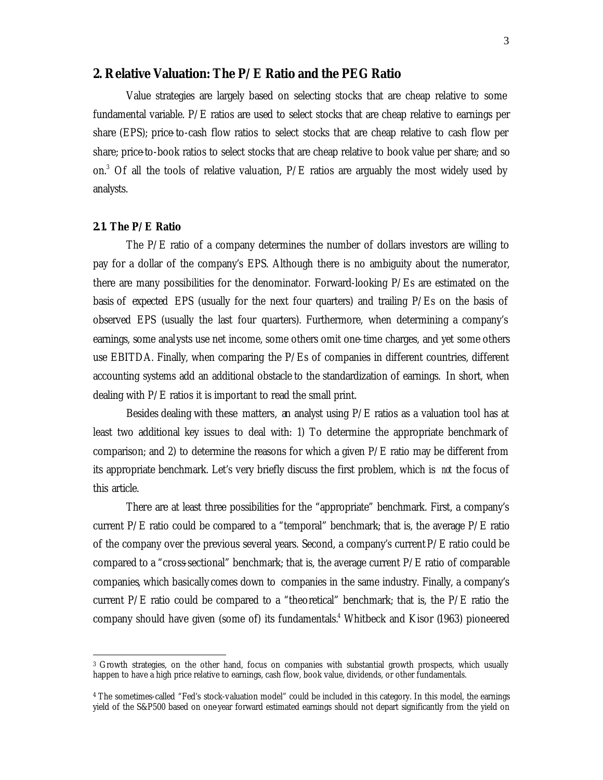## **2. Relative Valuation: The P/E Ratio and the PEG Ratio**

Value strategies are largely based on selecting stocks that are cheap relative to some fundamental variable. P/E ratios are used to select stocks that are cheap relative to earnings per share (EPS); price-to-cash flow ratios to select stocks that are cheap relative to cash flow per share; price-to-book ratios to select stocks that are cheap relative to book value per share; and so on.<sup>3</sup> Of all the tools of relative valuation,  $P/E$  ratios are arguably the most widely used by analysts.

## *2.1. The P/E Ratio*

 $\overline{a}$ 

The  $P/E$  ratio of a company determines the number of dollars investors are willing to pay for a dollar of the company's EPS. Although there is no ambiguity about the numerator, there are many possibilities for the denominator. Forward-looking P/Es are estimated on the basis of expected EPS (usually for the next four quarters) and trailing P/Es on the basis of observed EPS (usually the last four quarters). Furthermore, when determining a company's earnings, some anal ysts use net income, some others omit one-time charges, and yet some others use EBITDA. Finally, when comparing the P/Es of companies in different countries, different accounting systems add an additional obstacle to the standardization of earnings. In short, when dealing with P/E ratios it is important to read the small print.

Besides dealing with these matters, an analyst using  $P/E$  ratios as a valuation tool has at least two additional key issues to deal with: 1) To determine the appropriate benchmark of comparison; and 2) to determine the reasons for which a given  $P/E$  ratio may be different from its appropriate benchmark. Let's very briefly discuss the first problem, which is *not* the focus of this article.

There are at least three possibilities for the "appropriate" benchmark. First, a company's current  $P/E$  ratio could be compared to a "temporal" benchmark; that is, the average  $P/E$  ratio of the company over the previous several years. Second, a company's current P/E ratio could be compared to a "cross-sectional" benchmark; that is, the average current P/E ratio of comparable companies, which basically comes down to companies in the same industry. Finally, a company's current P/E ratio could be compared to a "theoretical" benchmark; that is, the  $P/E$  ratio the company should have given (some of) its fundamentals.<sup>4</sup> Whitbeck and Kisor (1963) pioneered

<sup>3</sup> Growth strategies, on the other hand, focus on companies with substantial growth prospects, which usually happen to have a high price relative to earnings, cash flow, book value, dividends, or other fundamentals.

<sup>4</sup> The sometimes-called "Fed's stock-valuation model" could be included in this category. In this model, the earnings yield of the S&P500 based on one-year forward estimated earnings should not depart significantly from the yield on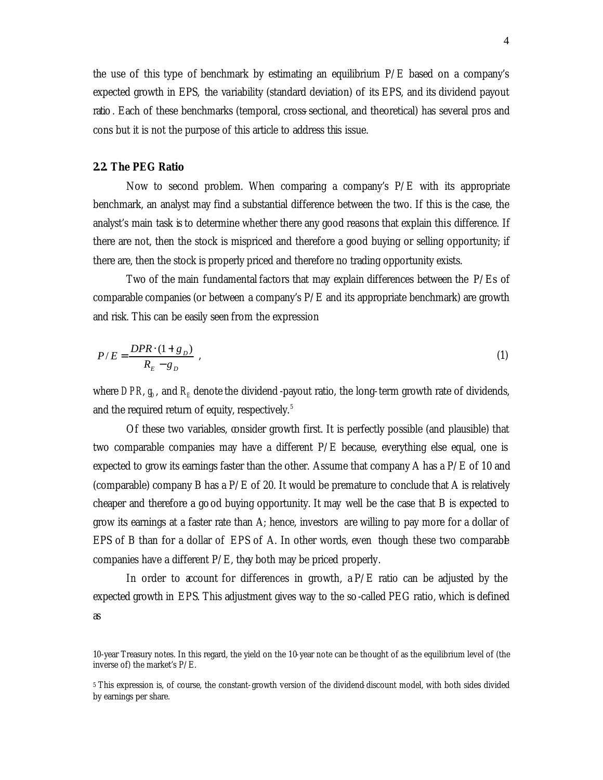the use of this type of benchmark by estimating an equilibrium P/E based on a company's expected growth in EPS, the variability (standard deviation) of its EPS, and its dividend payout ratio . Each of these benchmarks (temporal, cross-sectional, and theoretical) has several pros and cons but it is not the purpose of this article to address this issue.

## *2.2. The PEG Ratio*

Now to second problem. When comparing a company's  $P/E$  with its appropriate benchmark, an analyst may find a substantial difference between the two. If this is the case, the analyst's main task is to determine whether there any good reasons that explain this difference. If there are not, then the stock is mispriced and therefore a good buying or selling opportunity; if there are, then the stock is properly priced and therefore no trading opportunity exists.

Two of the main fundamental factors that may explain differences between the P/Es of comparable companies (or between a company's P/E and its appropriate benchmark) are growth and risk. This can be easily seen from the expression

$$
P/E = \frac{DPR \cdot (1 + g_D)}{R_E - g_D} \tag{1}
$$

where  $DPR$ ,  $g_{\scriptscriptstyle\!\! D}$ , and  $R_{\scriptscriptstyle\!\! E}$  denote the dividend -payout ratio, the long-term growth rate of dividends, and the required return of equity, respectively.<sup>5</sup>

Of these two variables, consider growth first. It is perfectly possible (and plausible) that two comparable companies may have a different  $P/E$  because, everything else equal, one is expected to grow its earnings faster than the other. Assume that company A has a  $P/E$  of 10 and (comparable) company B has a  $P/E$  of 20. It would be premature to conclude that A is relatively cheaper and therefore a good buying opportunity. It may well be the case that B is expected to grow its earnings at a faster rate than A; hence, investors are willing to pay more for a dollar of EPS of B than for a dollar of EPS of A. In other words, even though these two comparable companies have a different P/E, they both may be priced properly.

In order to account for differences in growth,  $a P/E$  ratio can be adjusted by the expected growth in EPS. This adjustment gives way to the so -called PEG ratio, which is defined as

<sup>10-</sup>year Treasury notes. In this regard, the yield on the 10-year note can be thought of as the equilibrium level of (the inverse of) the market's P/E.

<sup>5</sup> This expression is, of course, the constant-growth version of the dividend-discount model, with both sides divided by earnings per share.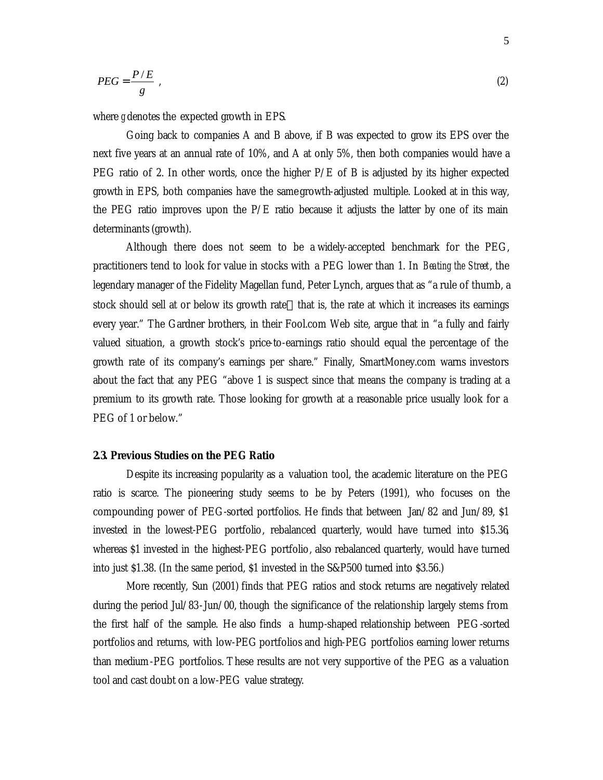$$
PEG = \frac{P/E}{g} \tag{2}
$$

where *g* denotes the expected growth in EPS.

Going back to companies A and B above, if B was expected to grow its EPS over the next five years at an annual rate of 10%, and A at only 5%, then both companies would have a PEG ratio of 2. In other words, once the higher P/E of B is adjusted by its higher expected growth in EPS, both companies have the same growth-adjusted multiple. Looked at in this way, the PEG ratio improves upon the P/E ratio because it adjusts the latter by one of its main determinants (growth).

Although there does not seem to be a widely-accepted benchmark for the PEG, practitioners tend to look for value in stocks with a PEG lower than 1. In *Beating the Street*, the legendary manager of the Fidelity Magellan fund, Peter Lynch, argues that as "a rule of thumb, a stock should sell at or below its growth rate—that is, the rate at which it increases its earnings every year." The Gardner brothers, in their Fool.com Web site, argue that in "a fully and fairly valued situation, a growth stock's price-to-earnings ratio should equal the percentage of the growth rate of its company's earnings per share." Finally, SmartMoney.com warns investors about the fact that any PEG "above 1 is suspect since that means the company is trading at a premium to its growth rate. Those looking for growth at a reasonable price usually look for a PEG of 1 or below."

## *2.3. Previous Studies on the PEG Ratio*

Despite its increasing popularity as a valuation tool, the academic literature on the PEG ratio is scarce. The pioneering study seems to be by Peters (1991), who focuses on the compounding power of PEG-sorted portfolios. He finds that between Jan/82 and Jun/89, \$1 invested in the lowest-PEG portfolio, rebalanced quarterly, would have turned into \$15.36, whereas \$1 invested in the highest-PEG portfolio, also rebalanced quarterly, would have turned into just \$1.38. (In the same period, \$1 invested in the S&P500 turned into \$3.56.)

More recently, Sun (2001) finds that PEG ratios and stock returns are negatively related during the period Jul/83-Jun/00, though the significance of the relationship largely stems from the first half of the sample. He also finds a hump-shaped relationship between PEG-sorted portfolios and returns, with low-PEG portfolios and high-PEG portfolios earning lower returns than medium-PEG portfolios. These results are not very supportive of the PEG as a valuation tool and cast doubt on a low-PEG value strategy.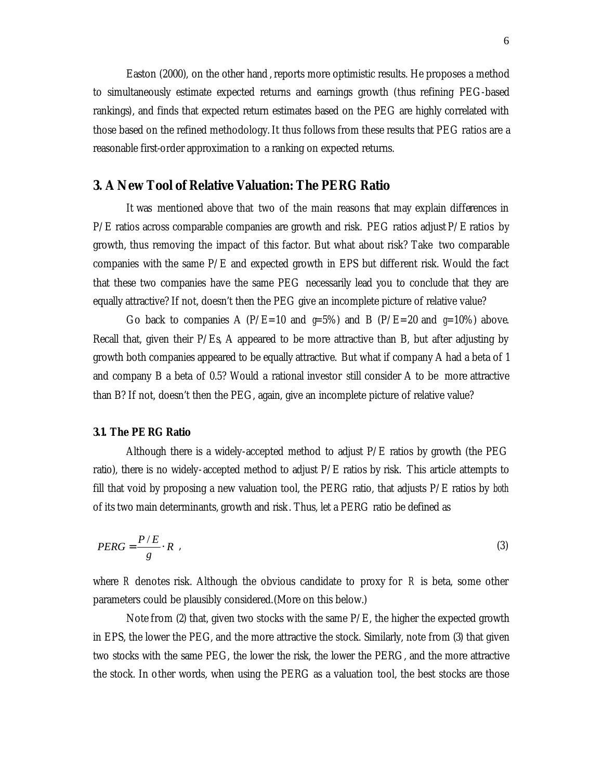Easton (2000), on the other hand , reports more optimistic results. He proposes a method to simultaneously estimate expected returns and earnings growth (thus refining PEG-based rankings), and finds that expected return estimates based on the PEG are highly correlated with those based on the refined methodology. It thus follows from these results that PEG ratios are a reasonable first-order approximation to a ranking on expected returns.

## **3. A New Tool of Relative Valuation: The PERG Ratio**

It was mentioned above that two of the main reasons that may explain differences in  $P/E$  ratios across comparable companies are growth and risk. PEG ratios adjust  $P/E$  ratios by growth, thus removing the impact of this factor. But what about risk? Take two comparable companies with the same P/E and expected growth in EPS but diffe rent risk. Would the fact that these two companies have the same PEG necessarily lead you to conclude that they are equally attractive? If not, doesn't then the PEG give an incomplete picture of relative value?

Go back to companies A ( $P/E=10$  and  $g=5\%$ ) and B ( $P/E=20$  and  $g=10\%$ ) above. Recall that, given their P/Es, A appeared to be more attractive than B, but after adjusting by growth both companies appeared to be equally attractive. But what if company A had a beta of 1 and company B a beta of 0.5? Would a rational investor still consider A to be more attractive than B? If not, doesn't then the PEG, again, give an incomplete picture of relative value?

## *3.1. The PERG Ratio*

Although there is a widely-accepted method to adjust P/E ratios by growth (the PEG ratio), there is no widely-accepted method to adjust P/E ratios by risk. This article attempts to fill that void by proposing a new valuation tool, the PERG ratio, that adjusts P/E ratios by *both* of its two main determinants, growth and risk. Thus, let a PERG ratio be defined as

$$
PERG = \frac{P/E}{g} \cdot R \tag{3}
$$

where *R* denotes risk. Although the obvious candidate to proxy for *R* is beta, some other parameters could be plausibly considered. (More on this below.)

Note from (2) that, given two stocks with the same P/E, the higher the expected growth in EPS, the lower the PEG, and the more attractive the stock. Similarly, note from (3) that given two stocks with the same PEG, the lower the risk, the lower the PERG, and the more attractive the stock. In other words, when using the PERG as a valuation tool, the best stocks are those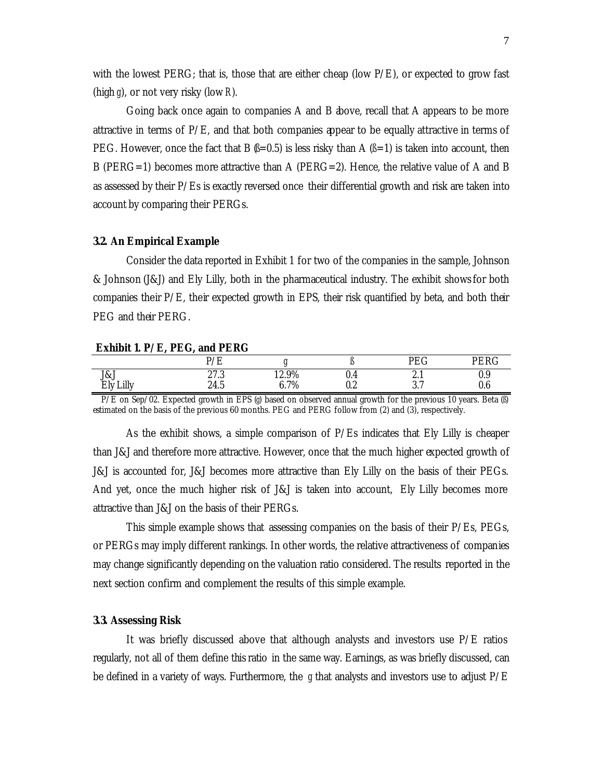with the lowest PERG; that is, those that are either cheap (low P/E), or expected to grow fast (high *g*), or not very risky (low *R*).

Going back once again to companies A and B above, recall that A appears to be more attractive in terms of  $P/E$ , and that both companies appear to be equally attractive in terms of PEG. However, once the fact that B  $(\beta=0.5)$  is less risky than A  $(\beta=1)$  is taken into account, then B (PERG=1) becomes more attractive than A (PERG=2). Hence, the relative value of A and B as assessed by their P/Es is exactly reversed once their differential growth and risk are taken into account by comparing their PERGs.

## *3.2. An Empirical Example*

Consider the data reported in Exhibit 1 for two of the companies in the sample, Johnson & Johnson (J&J) and Ely Lilly, both in the pharmaceutical industry. The exhibit shows for both companies their  $P/E$ , their expected growth in EPS, their risk quantified by beta, and both their PEG and their PERG.

#### **Exhibit 1. P/E, PEG, and PERG**

|                         | P/E                  |                     |                    | $\overline{\mathrm{PEC}}$<br>r Lu     | PERG       |
|-------------------------|----------------------|---------------------|--------------------|---------------------------------------|------------|
| J&J<br>Lilly<br>Ely<br> | റ~റ<br>4.1.0<br>24.5 | 12.9%<br>7%<br>υ. ι | U.4<br>ה ר<br>v. 4 | $L_{\cdot}$<br>$\Omega$ $\eta$<br>v.i | 0.9<br>0.6 |

P/E on Sep/02. Expected growth in EPS (*g*) based on observed annual growth for the previous 10 years. Beta (*ß*) estimated on the basis of the previous 60 months. PEG and PERG follow from (2) and (3), respectively.

As the exhibit shows, a simple comparison of P/Es indicates that Ely Lilly is cheaper than J&J and therefore more attractive. However, once that the much higher expected growth of J&J is accounted for, J&J becomes more attractive than Ely Lilly on the basis of their PEGs. And yet, once the much higher risk of J&J is taken into account, Ely Lilly becomes more attractive than J&J on the basis of their PERGs.

This simple example shows that assessing companies on the basis of their  $P/Es$ ,  $PEGs$ , or PERGs may imply different rankings. In other words, the relative attractiveness of companies may change significantly depending on the valuation ratio considered. The results reported in the next section confirm and complement the results of this simple example.

## *3.3. Assessing Risk*

It was briefly discussed above that although analysts and investors use  $P/E$  ratios regularly, not all of them define this ratio in the same way. Earnings, as was briefly discussed, can be defined in a variety of ways. Furthermore, the *g* that analysts and investors use to adjust P/E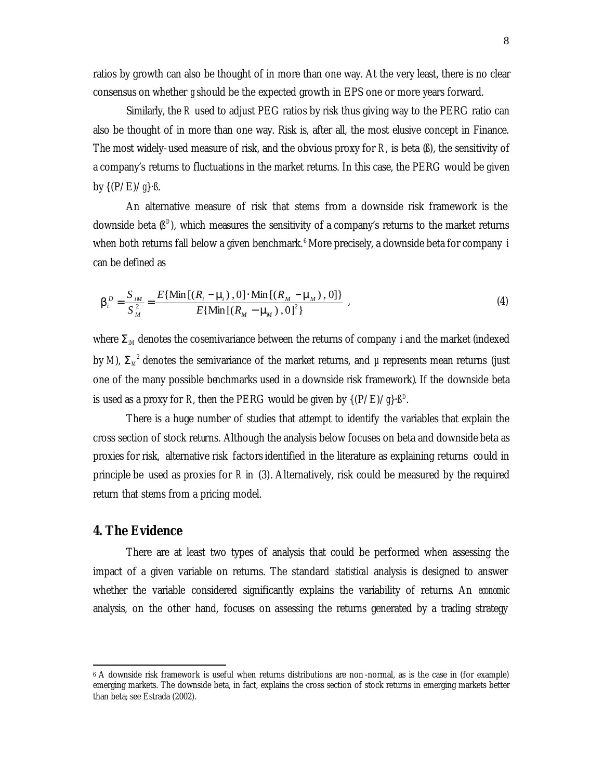ratios by growth can also be thought of in more than one way. At the very least, there is no clear consensus on whether *g* should be the expected growth in EPS one or more years forward.

Similarly, the *R* used to adjust PEG ratios by risk thus giving way to the PERG ratio can also be thought of in more than one way. Risk is, after all, the most elusive concept in Finance. The most widely-used measure of risk, and the obvious proxy for *R*, is beta (*ß*), the sensitivity of a company's returns to fluctuations in the market returns. In this case, the PERG would be given by {(P/E)/*g*}⋅*ß*.

An alternative measure of risk that stems from a downside risk framework is the downside beta  $(\beta^D)$ , which measures the sensitivity of a company's returns to the market returns when both returns fall below a given benchmark.<sup>6</sup> More precisely, a downside beta for company *i* can be defined as

$$
\boldsymbol{b}_{i}^{D} = \frac{S_{iM}}{S_{M}^{2}} = \frac{E\{\text{Min}\left[(R_{i} - \mathbf{m}_{i}), 0\right] \cdot \text{Min}\left[(R_{M} - \mathbf{m}_{M}), 0\right]\}}{E\{\text{Min}\left[(R_{M} - \mathbf{m}_{M}), 0\right]\}},
$$
\n(4)

where  $S_{\mu}$  denotes the cosemivariance between the returns of company *i* and the market (indexed by *M*),  $\mathbf{S}_M^2$  denotes the semivariance of the market returns, and  $\mu$  represents mean returns (just one of the many possible benchmarks used in a downside risk framework). If the downside beta is used as a proxy for *R*, then the PERG would be given by  $\{({\rm P}/{\rm E})/\textit{g}\} {\cdot} \textit{B}^{\rm D}.$ 

There is a huge number of studies that attempt to identify the variables that explain the cross section of stock returns. Although the analysis below focuses on beta and downside beta as proxies for risk, alternative risk factors identified in the literature as explaining returns could in principle be used as proxies for *R* in (3). Alternatively, risk could be measured by the required return that stems from a pricing model.

## **4. The Evidence**

 $\overline{a}$ 

There are at least two types of analysis that could be performed when assessing the impact of a given variable on returns. The standard *statistical* analysis is designed to answer whether the variable considered significantly explains the variability of returns. An *economic* analysis, on the other hand, focuses on assessing the returns generated by a trading strategy

<sup>6</sup> A downside risk framework is useful when returns distributions are non -normal, as is the case in (for example) emerging markets. The downside beta, in fact, explains the cross section of stock returns in emerging markets better than beta; see Estrada (2002).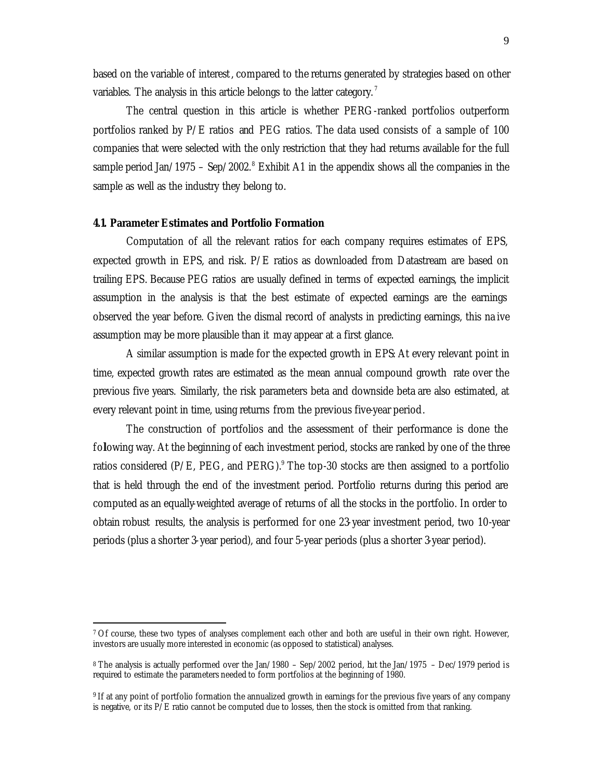based on the variable of interest, compared to the returns generated by strategies based on other variables. The analysis in this article belongs to the latter category.<sup>7</sup>

The central question in this article is whether PERG-ranked portfolios outperform portfolios ranked by P/E ratios and PEG ratios. The data used consists of a sample of 100 companies that were selected with the only restriction that they had returns available for the full sample period Jan/1975 – Sep/2002.<sup>8</sup> Exhibit A1 in the appendix shows all the companies in the sample as well as the industry they belong to.

## *4.1. Parameter Estimates and Portfolio Formation*

l

Computation of all the relevant ratios for each company requires estimates of EPS, expected growth in EPS, and risk. P/E ratios as downloaded from Datastream are based on trailing EPS. Because PEG ratios are usually defined in terms of expected earnings, the implicit assumption in the analysis is that the best estimate of expected earnings are the earnings observed the year before. Given the dismal record of analysts in predicting earnings, this na ive assumption may be more plausible than it may appear at a first glance.

A similar assumption is made for the expected growth in EPS: At every relevant point in time, expected growth rates are estimated as the mean annual compound growth rate over the previous five years. Similarly, the risk parameters beta and downside beta are also estimated, at every relevant point in time, using returns from the previous five-year period.

The construction of portfolios and the assessment of their performance is done the following way. At the beginning of each investment period, stocks are ranked by one of the three ratios considered (P/E, PEG, and PERG). $^9$  The top-30 stocks are then assigned to a portfolio that is held through the end of the investment period. Portfolio returns during this period are computed as an equally-weighted average of returns of all the stocks in the portfolio. In order to obtain robust results, the analysis is performed for one 23-year investment period, two 10-year periods (plus a shorter 3-year period), and four 5-year periods (plus a shorter 3-year period).

<sup>7</sup> Of course, these two types of analyses complement each other and both are useful in their own right. However, investors are usually more interested in economic (as opposed to statistical) analyses.

<sup>8</sup> The analysis is actually performed over the Jan/1980 – Sep/2002 period, but the Jan/1975 – Dec/1979 period is required to estimate the parameters needed to form portfolios at the beginning of 1980.

<sup>9</sup> If at any point of portfolio formation the annualized growth in earnings for the previous five years of any company is negative, or its  $P/E$  ratio cannot be computed due to losses, then the stock is omitted from that ranking.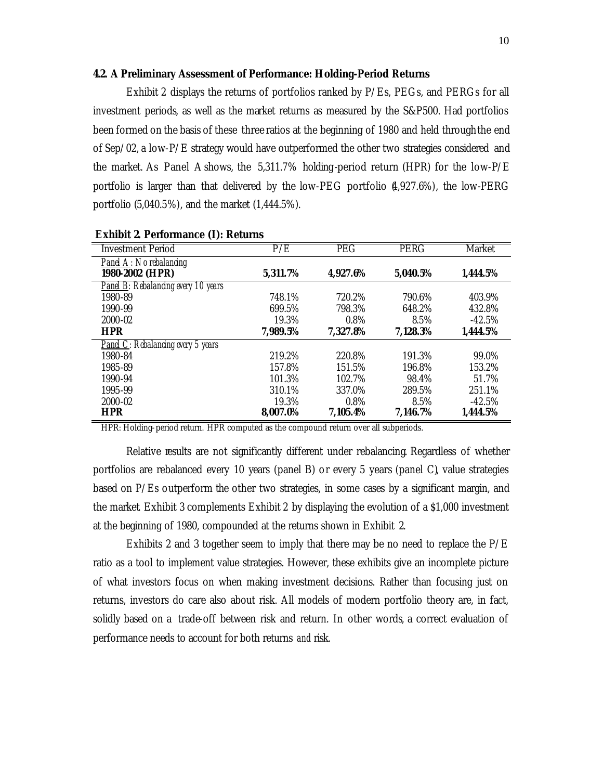## *4.2. A Preliminary Assessment of Performance: Holding-Period Returns*

Exhibit 2 displays the returns of portfolios ranked by P/Es, PEGs, and PERGs for all investment periods, as well as the market returns as measured by the S&P500. Had portfolios been formed on the basis of these three ratios at the beginning of 1980 and held through the end of Sep/02, a low-P/E strategy would have outperformed the other two strategies considered and the market. As Panel A shows, the 5,311.7% holding-period return (HPR) for the low-P/E portfolio is larger than that delivered by the low-PEG portfolio (4,927.6%), the low-PERG portfolio (5,040.5%), and the market (1,444.5%).

| <b>Investment Period</b>                   | P/E      | <b>PEG</b> | <b>PERG</b> | Market   |
|--------------------------------------------|----------|------------|-------------|----------|
| Panel $A$ : No rebalancing                 |          |            |             |          |
| 1980-2002 (HPR)                            | 5,311.7% | 4,927.6%   | 5,040.5%    | 1,444.5% |
| <b>Panel B:</b> Rebalancing every 10 years |          |            |             |          |
| 1980-89                                    | 748.1%   | 720.2%     | 790.6%      | 403.9%   |
| 1990-99                                    | 699.5%   | 798.3%     | 648.2%      | 432.8%   |
| 2000-02                                    | 19.3%    | $0.8\%$    | 8.5%        | $-42.5%$ |
| <b>HPR</b>                                 | 7,989.5% | 7,327.8%   | 7,128.3%    | 1,444.5% |
| <b>Panel C:</b> Rebalancing every 5 years  |          |            |             |          |
| 1980-84                                    | 219.2%   | 220.8%     | 191.3%      | 99.0%    |
| 1985-89                                    | 157.8%   | 151.5%     | 196.8%      | 153.2%   |
| 1990-94                                    | 101.3%   | 102.7%     | 98.4%       | 51.7%    |
| 1995-99                                    | 310.1%   | 337.0%     | 289.5%      | 251.1%   |
| 2000-02                                    | 19.3%    | 0.8%       | 8.5%        | $-42.5%$ |
| <b>HPR</b>                                 | 8,007.0% | 7,105.4%   | 7,146.7%    | 1,444.5% |

**Exhibit 2. Performance (I): Returns**

HPR: Holding-period return. HPR computed as the compound return over all subperiods.

Relative results are not significantly different under rebalancing. Regardless of whether portfolios are rebalanced every 10 years (panel B) or every 5 years (panel C), value strategies based on P/Es outperform the other two strategies, in some cases by a significant margin, and the market. Exhibit 3 complements Exhibit 2 by displaying the evolution of a \$1,000 investment at the beginning of 1980, compounded at the returns shown in Exhibit 2.

Exhibits 2 and 3 together seem to imply that there may be no need to replace the P/E ratio as a tool to implement value strategies. However, these exhibits give an incomplete picture of what investors focus on when making investment decisions. Rather than focusing just on returns, investors do care also about risk. All models of modern portfolio theory are, in fact, solidly based on a trade-off between risk and return. In other words, a correct evaluation of performance needs to account for both returns *and* risk.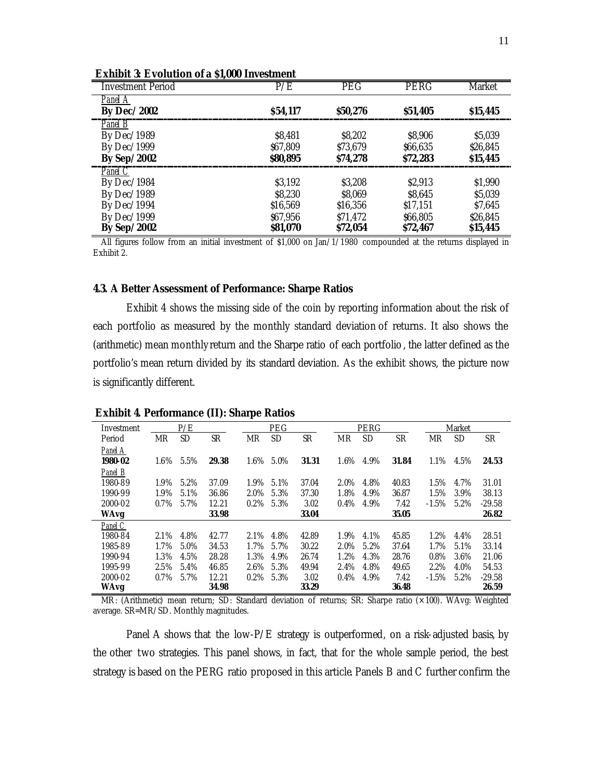| ежирн о площной ога от,обо нискиет |                 |            |                 |               |
|------------------------------------|-----------------|------------|-----------------|---------------|
| <b>Investment Period</b>           | P/E             | <b>PEG</b> | PERG            | <b>Market</b> |
| Panel A                            |                 |            |                 |               |
| <b>By Dec/2002</b>                 | \$54,117        | \$50,276   | \$51,405        | \$15,445      |
| Panel B                            |                 |            |                 |               |
| By Dec/1989                        | \$8,481         | \$8,202    | \$8,906         | \$5,039       |
| By Dec/1999                        | \$67,809        | \$73,679   | \$66,635        | \$26,845      |
| <b>By Sep/2002</b>                 | <b>\$80,895</b> | \$74,278   | \$72,283        | \$15,445      |
| Panel $\overline{C}$               |                 |            |                 |               |
| By Dec/1984                        | \$3,192         | \$3,208    | \$2,913         | \$1,990       |
| By Dec/1989                        | \$8,230         | \$8,069    | \$8,645         | \$5,039       |
| By $Dec/1994$                      | \$16,569        | \$16,356   | \$17,151        | \$7,645       |
| By Dec/1999                        | \$67,956        | \$71,472   | \$66,805        | \$26,845      |
| <b>By Sep/2002</b>                 | \$81,070        | \$72,054   | <b>\$72,467</b> | \$15,445      |

**Exhibit 3: Evolution of a \$1,000 Investment**

All figures follow from an initial investment of \$1,000 on Jan/1/1980 compounded at the returns displayed in Exhibit 2.

#### *4.3. A Better Assessment of Performance: Sharpe Ratios*

Exhibit 4 shows the missing side of the coin by reporting information about the risk of each portfolio as measured by the monthly standard deviation of returns. It also shows the (arithmetic) mean monthly return and the Sharpe ratio of each portfolio , the latter defined as the portfolio's mean return divided by its standard deviation. As the exhibit shows, the picture now is significantly different.

| Investment  |           | P/E  |           |         | PEG       |       |         | PERG |       |         | Market    |           |
|-------------|-----------|------|-----------|---------|-----------|-------|---------|------|-------|---------|-----------|-----------|
| Period      | <b>MR</b> | SD   | <b>SR</b> | MR      | <b>SD</b> | SR    | MR      | SD   | SR    | MR      | <b>SD</b> | <b>SR</b> |
| Panel A     |           |      |           |         |           |       |         |      |       |         |           |           |
| 1980-02     | $1.6\%$   | 5.5% | 29.38     | 1.6%    | 5.0%      | 31.31 | 1.6%    | 4.9% | 31.84 | 1.1%    | 4.5%      | 24.53     |
| Panel B     |           |      |           |         |           |       |         |      |       |         |           |           |
| 1980-89     | 1.9%      | 5.2% | 37.09     | 1.9%    | 5.1%      | 37.04 | 2.0%    | 4.8% | 40.83 | 1.5%    | 4.7%      | 31.01     |
| 1990-99     | 1.9%      | 5.1% | 36.86     | 2.0%    | 5.3%      | 37.30 | 1.8%    | 4.9% | 36.87 | 1.5%    | 3.9%      | 38.13     |
| 2000-02     | $0.7\%$   | 5.7% | 12.21     | $0.2\%$ | 5.3%      | 3.02  | 0.4%    | 4.9% | 7.42  | $-1.5%$ | 5.2%      | $-29.58$  |
| <b>WAvg</b> |           |      | 33.98     |         |           | 33.04 |         |      | 35.05 |         |           | 26.82     |
| Panel C     |           |      |           |         |           |       |         |      |       |         |           |           |
| 1980-84     | 2.1%      | 4.8% | 42.77     | 2.1%    | 4.8%      | 42.89 | 1.9%    | 4.1% | 45.85 | 1.2%    | 4.4%      | 28.51     |
| 1985-89     | 1.7%      | 5.0% | 34.53     | 1.7%    | 5.7%      | 30.22 | $2.0\%$ | 5.2% | 37.64 | 1.7%    | 5.1%      | 33.14     |
| 1990-94     | 1.3%      | 4.5% | 28.28     | 1.3%    | 4.9%      | 26.74 | 1.2%    | 4.3% | 28.76 | $0.8\%$ | 3.6%      | 21.06     |
| 1995-99     | 2.5%      | 5.4% | 46.85     | 2.6%    | 5.3%      | 49.94 | 2.4%    | 4.8% | 49.65 | 2.2%    | 4.0%      | 54.53     |
| 2000-02     | $0.7\%$   | 5.7% | 12.21     | $0.2\%$ | 5.3%      | 3.02  | 0.4%    | 4.9% | 7.42  | $-1.5%$ | 5.2%      | $-29.58$  |
| <b>WAvg</b> |           |      | 34.98     |         |           | 33.29 |         |      | 36.48 |         |           | 26.59     |

#### **Exhibit 4. Performance (II): Sharpe Ratios**

MR: (Arithmetic) mean return; SD: Standard deviation of returns; SR: Sharpe ratio (×100). WAvg: Weighted average. SR=MR/SD. Monthly magnitudes.

Panel A shows that the low-P/E strategy is outperformed, on a risk-adjusted basis, by the other two strategies. This panel shows, in fact, that for the whole sample period, the best strategy is based on the PERG ratio proposed in this article. Panels B and C further confirm the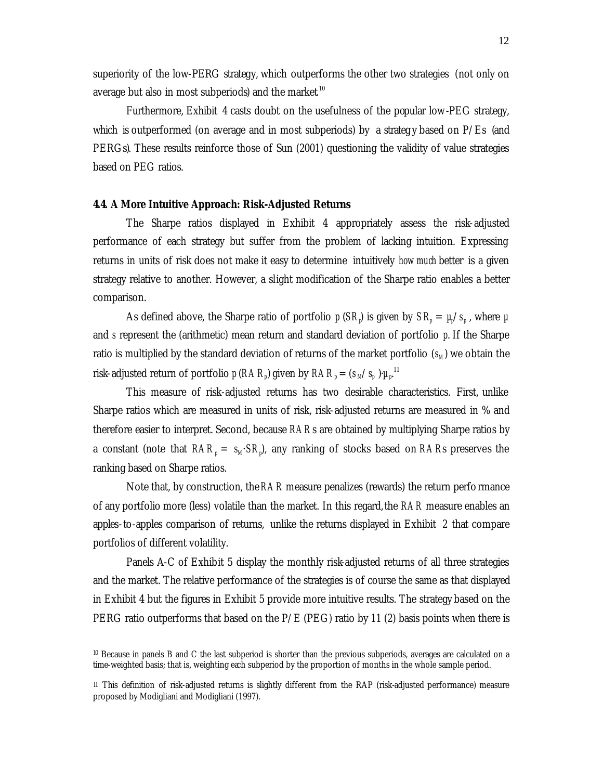superiority of the low-PERG strategy, which outperforms the other two strategies (not only on average but also in most subperiods) and the market  $^{\rm 10}$ 

Furthermore, Exhibit 4 casts doubt on the usefulness of the popular low-PEG strategy, which is outperformed (on average and in most subperiods) by a strategy based on  $P/Es$  (and PERGs). These results reinforce those of Sun (2001) questioning the validity of value strategies based on PEG ratios.

## *4.4. A More Intuitive Approach: Risk-Adjusted Returns*

The Sharpe ratios displayed in Exhibit 4 appropriately assess the risk-adjusted performance of each strategy but suffer from the problem of lacking intuition. Expressing returns in units of risk does not make it easy to determine intuitively *how much* better is a given strategy relative to another. However, a slight modification of the Sharpe ratio enables a better comparison.

As defined above, the Sharpe ratio of portfolio  $p$  (*SR*) is given by  $SR_p = \mu/s_p$  , where  $\mu$ and *s* represent the (arithmetic) mean return and standard deviation of portfolio *p*. If the Sharpe ratio is multiplied by the standard deviation of returns of the market portfolio  $(s_M)$  we obtain the risk-adjusted return of portfolio  $p\ (RAR_p)$  given by  $RAR_p = (s_{\mathit{M}}/s_p~{\color{red}){\cdot}}{\mu_{p}}^{11}$ 

This measure of risk-adjusted returns has two desirable characteristics. First, unlike Sharpe ratios which are measured in units of risk, risk-adjusted returns are measured in % and therefore easier to interpret. Second, because *RAR*s are obtained by multiplying Sharpe ratios by a constant (note that *RAR<sup>p</sup>* = *sM*·*SR<sup>p</sup>* ), any ranking of stocks based on *RAR*s preserves the ranking based on Sharpe ratios.

Note that, by construction, the*RAR* measure penalizes (rewards) the return performance of any portfolio more (less) volatile than the market. In this regard, the *RAR* measure enables an apples-to-apples comparison of returns, unlike the returns displayed in Exhibit 2 that compare portfolios of different volatility.

Panels A-C of Exhibit 5 display the monthly risk-adjusted returns of all three strategies and the market. The relative performance of the strategies is of course the same as that displayed in Exhibit 4 but the figures in Exhibit 5 provide more intuitive results. The strategy based on the PERG ratio outperforms that based on the P/E (PEG) ratio by 11 (2) basis points when there is

<sup>10</sup> Because in panels B and C the last subperiod is shorter than the previous subperiods, averages are calculated on a time-weighted basis; that is, weighting each subperiod by the proportion of months in the whole sample period.

<sup>11</sup> This definition of risk-adjusted returns is slightly different from the RAP (risk-adjusted performance) measure proposed by Modigliani and Modigliani (1997).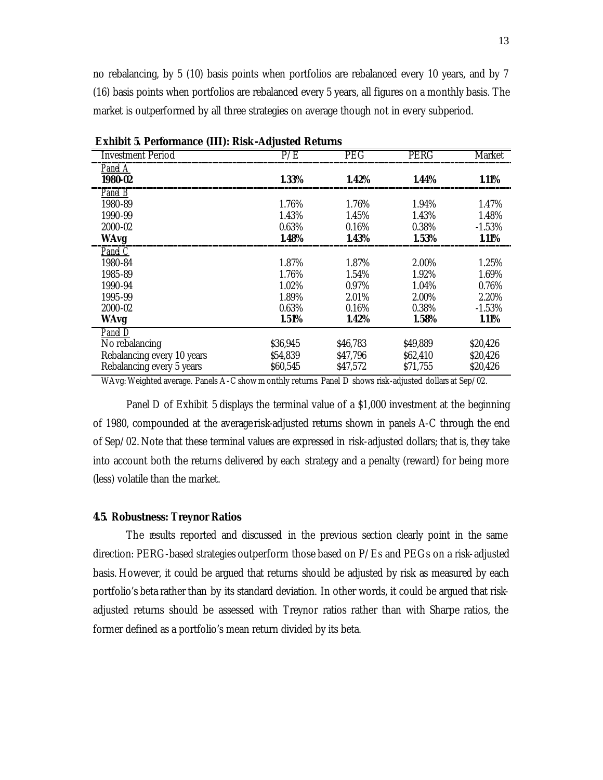no rebalancing, by 5 (10) basis points when portfolios are rebalanced every 10 years, and by 7 (16) basis points when portfolios are rebalanced every 5 years, all figures on a monthly basis. The market is outperformed by all three strategies on average though not in every subperiod.

| <b>Investment Period</b>   | P/E      | <b>PEG</b> | <b>PERG</b> | Market   |
|----------------------------|----------|------------|-------------|----------|
| Panel A                    |          |            |             |          |
| 1980-02                    | 1.33%    | 1.42%      | 1.44%       | 1.11%    |
| $P$ <i>anel</i> $B$        |          |            |             |          |
| 1980-89                    | 1.76%    | 1.76%      | 1.94%       | 1.47%    |
| 1990-99                    | 1.43%    | 1.45%      | 1.43%       | 1.48%    |
| 2000-02                    | 0.63%    | 0.16%      | 0.38%       | $-1.53%$ |
| <b>WAvg</b>                | 1.48%    | 1.43%      | 1.53%       | 1.11%    |
| Panel C                    |          |            |             |          |
| 1980-84                    | 1.87%    | 1.87%      | 2.00%       | 1.25%    |
| 1985-89                    | 1.76%    | 1.54%      | 1.92%       | 1.69%    |
| 1990-94                    | 1.02%    | $0.97\%$   | 1.04%       | 0.76%    |
| 1995-99                    | 1.89%    | 2.01%      | 2.00%       | 2.20%    |
| 2000-02                    | 0.63%    | 0.16%      | 0.38%       | $-1.53%$ |
| <b>WAvg</b>                | 1.51%    | 1.42%      | 1.58%       | 1.11%    |
| Panel D                    |          |            |             |          |
| No rebalancing             | \$36,945 | \$46,783   | \$49,889    | \$20,426 |
| Rebalancing every 10 years | \$54.839 | \$47,796   | \$62,410    | \$20,426 |
| Rebalancing every 5 years  | \$60,545 | \$47,572   | \$71,755    | \$20,426 |

**Exhibit 5. Performance (III): Risk-Adjusted Returns**

WAvg: Weighted average. Panels A-C show m onthly returns. Panel D shows risk-adjusted dollars at Sep/02.

Panel D of Exhibit 5 displays the terminal value of a \$1,000 investment at the beginning of 1980, compounded at the average risk-adjusted returns shown in panels A-C through the end of Sep/02. Note that these terminal values are expressed in risk-adjusted dollars; that is, they take into account both the returns delivered by each strategy and a penalty (reward) for being more (less) volatile than the market.

## *4.5. Robustness: Treynor Ratios*

The results reported and discussed in the previous section clearly point in the same direction: PERG-based strategies outperform those based on P/Es and PEGs on a risk-adjusted basis. However, it could be argued that returns should be adjusted by risk as measured by each portfolio's beta rather than by its standard deviation. In other words, it could be argued that riskadjusted returns should be assessed with Treynor ratios rather than with Sharpe ratios, the former defined as a portfolio's mean return divided by its beta.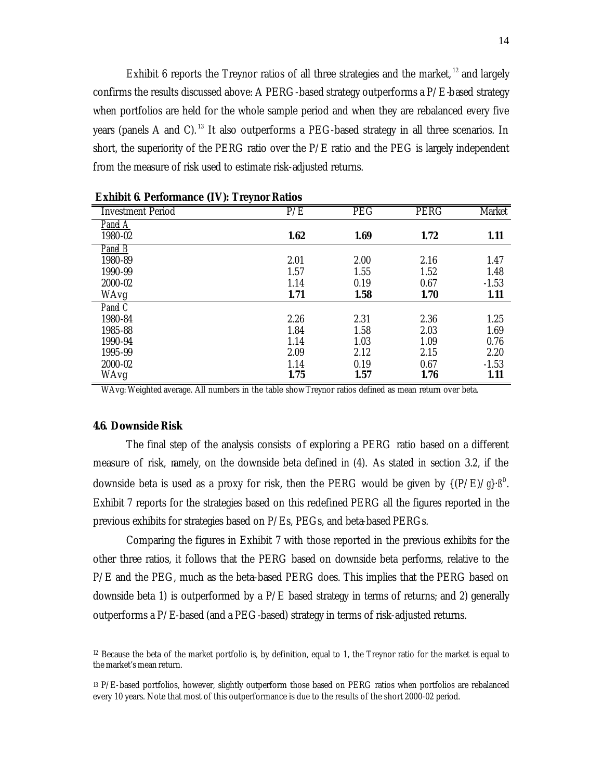Exhibit 6 reports the Treynor ratios of all three strategies and the market, <sup>12</sup> and largely confirms the results discussed above: A PERG-based strategy outperforms a P/E-based strategy when portfolios are held for the whole sample period and when they are rebalanced every five years (panels A and C).<sup>13</sup> It also outperforms a PEG-based strategy in all three scenarios. In short, the superiority of the PERG ratio over the P/E ratio and the PEG is largely independent from the measure of risk used to estimate risk-adjusted returns.

| <b>Investment Period</b> | P/E  | <b>PEG</b> | <b>PERG</b> | Market  |
|--------------------------|------|------------|-------------|---------|
| Panel A                  |      |            |             |         |
| 1980-02                  | 1.62 | 1.69       | 1.72        | 1.11    |
| Panel $\overline{B}$     |      |            |             |         |
| 1980-89                  | 2.01 | 2.00       | 2.16        | 1.47    |
| 1990-99                  | 1.57 | 1.55       | 1.52        | 1.48    |
| $2000 - 02$              | 1.14 | 0.19       | 0.67        | $-1.53$ |
| WAvg                     | 1.71 | 1.58       | 1.70        | 1.11    |
| Panel C                  |      |            |             |         |
| 1980-84                  | 2.26 | 2.31       | 2.36        | 1.25    |
| 1985-88                  | 1.84 | 1.58       | 2.03        | 1.69    |
| 1990-94                  | 1.14 | 1.03       | 1.09        | 0.76    |
| 1995-99                  | 2.09 | 2.12       | 2.15        | 2.20    |
| 2000-02                  | 1.14 | 0.19       | 0.67        | $-1.53$ |
| WAvg                     | 1.75 | 1.57       | 1.76        | 1.11    |

|  | <b>Exhibit 6. Performance (IV): Treynor Ratios</b> |  |  |
|--|----------------------------------------------------|--|--|
|--|----------------------------------------------------|--|--|

WAvg: Weighted average. All numbers in the table show Treynor ratios defined as mean return over beta.

#### *4.6. Downside Risk*

The final step of the analysis consists of exploring a PERG ratio based on a different measure of risk, namely, on the downside beta defined in (4). As stated in section 3.2, if the downside beta is used as a proxy for risk, then the PERG would be given by  $\{(P/E)/g\}$ .  $\beta^D$ . Exhibit 7 reports for the strategies based on this redefined PERG all the figures reported in the previous exhibits for strategies based on P/Es, PEGs, and beta-based PERGs.

Comparing the figures in Exhibit 7 with those reported in the previous exhibits for the other three ratios, it follows that the PERG based on downside beta performs, relative to the P/E and the PEG, much as the beta-based PERG does. This implies that the PERG based on downside beta 1) is outperformed by a  $P/E$  based strategy in terms of returns; and 2) generally outperforms a P/E-based (and a PEG-based) strategy in terms of risk-adjusted returns.

 $12$  Because the beta of the market portfolio is, by definition, equal to 1, the Treynor ratio for the market is equal to the market's mean return.

<sup>13</sup> P/E-based portfolios, however, slightly outperform those based on PERG ratios when portfolios are rebalanced every 10 years. Note that most of this outperformance is due to the results of the short 2000-02 period.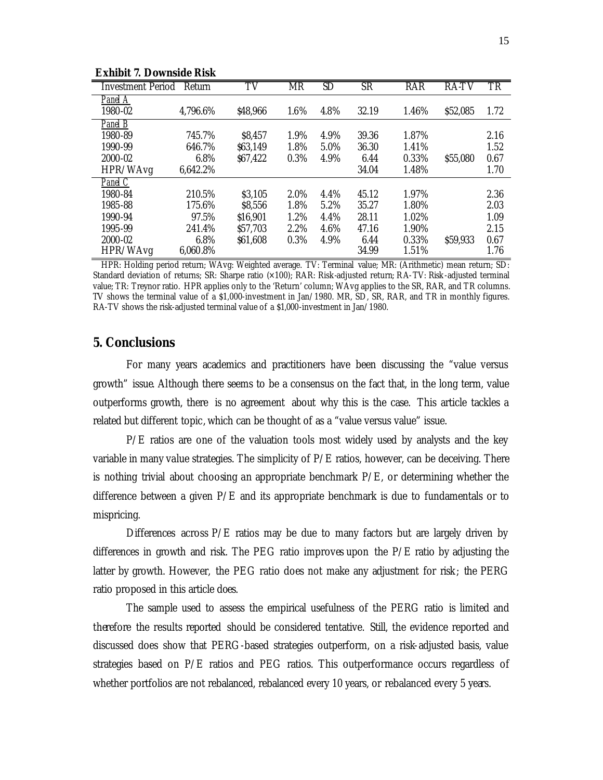| <b>Investment Period</b> | Return   | TV       | <b>MR</b> | SD   | SR    | <b>RAR</b> | <b>RA-TV</b> | $\overline{\text{TR}}$ |
|--------------------------|----------|----------|-----------|------|-------|------------|--------------|------------------------|
| Panel A                  |          |          |           |      |       |            |              |                        |
| 1980-02                  | 4,796.6% | \$48,966 | 1.6%      | 4.8% | 32.19 | 1.46%      | \$52,085     | 1.72                   |
| Panel B                  |          |          |           |      |       |            |              |                        |
| 1980-89                  | 745.7%   | \$8,457  | 1.9%      | 4.9% | 39.36 | 1.87%      |              | 2.16                   |
| 1990-99                  | 646.7%   | \$63,149 | 1.8%      | 5.0% | 36.30 | 1.41%      |              | 1.52                   |
| 2000-02                  | 6.8%     | \$67,422 | 0.3%      | 4.9% | 6.44  | 0.33%      | \$55,080     | 0.67                   |
| HPR/WAvg                 | 6,642.2% |          |           |      | 34.04 | 1.48%      |              | 1.70                   |
| Panel C                  |          |          |           |      |       |            |              |                        |
| 1980-84                  | 210.5%   | \$3,105  | 2.0%      | 4.4% | 45.12 | 1.97%      |              | 2.36                   |
| 1985-88                  | 175.6%   | \$8,556  | 1.8%      | 5.2% | 35.27 | 1.80%      |              | 2.03                   |
| 1990-94                  | 97.5%    | \$16,901 | 1.2%      | 4.4% | 28.11 | 1.02%      |              | 1.09                   |
| 1995-99                  | 241.4%   | \$57,703 | 2.2%      | 4.6% | 47.16 | 1.90%      |              | 2.15                   |
| 2000-02                  | 6.8%     | \$61,608 | 0.3%      | 4.9% | 6.44  | 0.33%      | \$59,933     | 0.67                   |
| HPR/WAvg                 | 6,060.8% |          |           |      | 34.99 | 1.51%      |              | 1.76                   |

**Exhibit 7. Downside Risk**

HPR: Holding period return; WAvg: Weighted average. TV: Terminal value; MR: (Arithmetic) mean return; SD: Standard deviation of returns; SR: Sharpe ratio (×100); RAR: Risk-adjusted return; RA-TV: Risk -adjusted terminal value; TR: Treynor ratio. HPR applies only to the 'Return' column; WAvg applies to the SR, RAR, and TR columns. TV shows the terminal value of a \$1,000-investment in Jan/1980. MR, SD, SR, RAR, and TR in monthly figures. RA-TV shows the risk-adjusted terminal value of a \$1,000-investment in Jan/1980.

## **5. Conclusions**

For many years academics and practitioners have been discussing the "value versus growth" issue. Although there seems to be a consensus on the fact that, in the long term, value outperforms growth, there is no agreement about why this is the case. This article tackles a related but different topic, which can be thought of as a "value versus value" issue.

 $P/E$  ratios are one of the valuation tools most widely used by analysts and the key variable in many value strategies. The simplicity of P/E ratios, however, can be deceiving. There is nothing trivial about choosing an appropriate benchmark P/E, or determining whether the difference between a given  $P/E$  and its appropriate benchmark is due to fundamentals or to mispricing.

Differences across P/E ratios may be due to many factors but are largely driven by differences in growth and risk. The PEG ratio improves upon the P/E ratio by adjusting the latter by growth. However, the PEG ratio does not make any adjustment for risk; the PERG ratio proposed in this article does.

The sample used to assess the empirical usefulness of the PERG ratio is limited and therefore the results reported should be considered tentative. Still, the evidence reported and discussed does show that PERG-based strategies outperform, on a risk-adjusted basis, value strategies based on P/E ratios and PEG ratios. This outperformance occurs regardless of whether portfolios are not rebalanced, rebalanced every 10 years, or rebalanced every 5 years.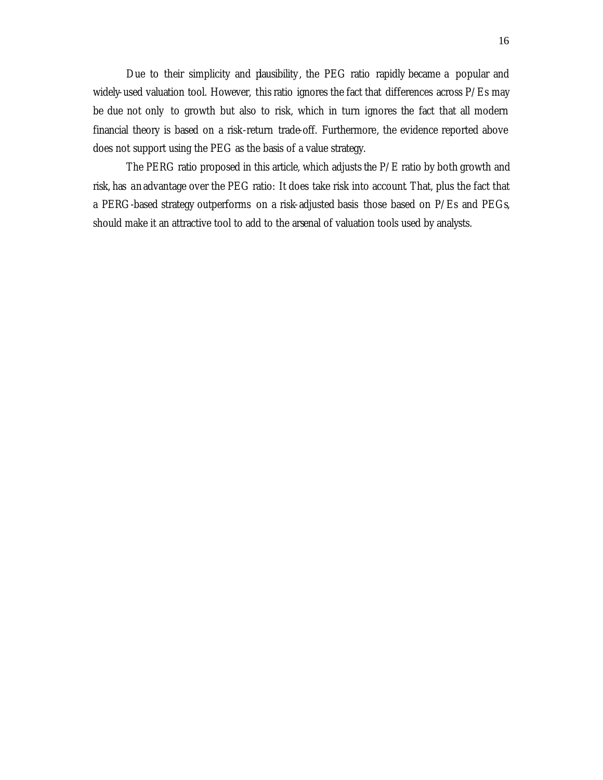Due to their simplicity and plausibility, the PEG ratio rapidly became a popular and widely-used valuation tool. However, this ratio ignores the fact that differences across P/Es may be due not only to growth but also to risk, which in turn ignores the fact that all modern financial theory is based on a risk-return trade-off. Furthermore, the evidence reported above does not support using the PEG as the basis of a value strategy.

The PERG ratio proposed in this article, which adjusts the P/E ratio by both growth and risk, has an advantage over the PEG ratio: It does take risk into account. That, plus the fact that a PERG-based strategy outperforms on a risk-adjusted basis those based on P/Es and PEGs, should make it an attractive tool to add to the arsenal of valuation tools used by analysts.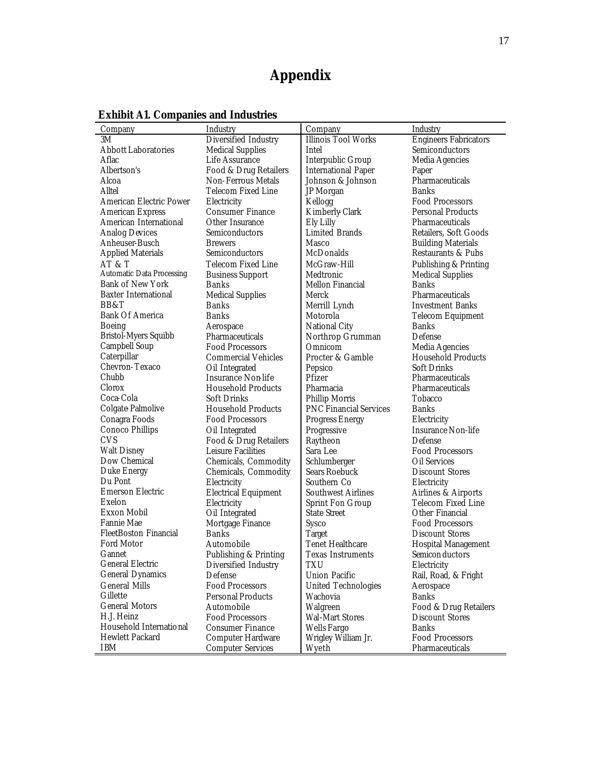# **Appendix**

| Company                          | Industry                     | Company                       | Industry                                 |
|----------------------------------|------------------------------|-------------------------------|------------------------------------------|
| 3M                               | Diversified Industry         | <b>Illinois Tool Works</b>    | <b>Engineers Fabricators</b>             |
| <b>Abbott Laboratories</b>       | <b>Medical Supplies</b>      | Intel                         | Semiconductors                           |
| Aflac                            | Life Assurance               | Interpublic Group             | Media Agencies                           |
| Albertson's                      | Food & Drug Retailers        | <b>International Paper</b>    | Paper                                    |
| Alcoa                            | <b>Non-Ferrous Metals</b>    | Johnson & Johnson             | Pharmaceuticals                          |
| Alltel                           | Telecom Fixed Line           | JP Morgan                     | <b>Banks</b>                             |
| <b>American Electric Power</b>   | Electricity                  | Kellogg                       | Food Processors                          |
| <b>American Express</b>          | <b>Consumer Finance</b>      | Kimberly-Clark                | <b>Personal Products</b>                 |
| American International           | Other Insurance              | Ely Lilly                     | Pharmaceuticals                          |
| <b>Analog Devices</b>            | Semiconductors               | <b>Limited Brands</b>         | Retailers, Soft Goods                    |
| Anheuser-Busch                   | <b>Brewers</b>               | Masco                         | <b>Building Materials</b>                |
| <b>Applied Materials</b>         | Semiconductors               | McDonalds                     | Restaurants & Pubs                       |
| AT & T                           | <b>Telecom Fixed Line</b>    | McGraw-Hill                   | Publishing & Printing                    |
| <b>Automatic Data Processing</b> | <b>Business Support</b>      | Medtronic                     | <b>Medical Supplies</b>                  |
| <b>Bank of New York</b>          | <b>Banks</b>                 | Mellon Financial              | <b>Banks</b>                             |
| <b>Baxter International</b>      | <b>Medical Supplies</b>      | Merck                         | <b>Pharmaceuticals</b>                   |
| BB&T                             | <b>Banks</b>                 | Merrill Lynch                 | <b>Investment Banks</b>                  |
| <b>Bank Of America</b>           | Banks                        | Motorola                      |                                          |
| <b>Boeing</b>                    |                              | <b>National City</b>          | <b>Telecom Equipment</b><br><b>Banks</b> |
| Bristol-Myers Squibb             | Aerospace<br>Pharmaceuticals | Northrop Grumman              | Defense                                  |
| Campbell Soup                    | <b>Food Processors</b>       |                               |                                          |
| Caterpillar                      | <b>Commercial Vehicles</b>   | Omnicom                       | Media Agencies                           |
| Chevron-Texaco                   |                              | Procter & Gamble              | <b>Household Products</b>                |
| Chubb                            | Oil Integrated               | Pepsico                       | <b>Soft Drinks</b>                       |
|                                  | <b>Insurance Non-life</b>    | Pfizer                        | <b>Pharmaceuticals</b>                   |
| Clorox                           | <b>Household Products</b>    | Pharmacia                     | Pharmaceuticals                          |
| Coca-Cola                        | <b>Soft Drinks</b>           | <b>Phillip Morris</b>         | Tobacco                                  |
| Colgate Palmolive                | <b>Household Products</b>    | <b>PNC Financial Services</b> | <b>Banks</b>                             |
| Conagra Foods                    | <b>Food Processors</b>       | <b>Progress Energy</b>        | Electricity                              |
| Conoco Phillips                  | Oil Integrated               | Progressive                   | <b>Insurance Non-life</b>                |
| <b>CVS</b>                       | Food & Drug Retailers        | Raytheon                      | Defense                                  |
| <b>Walt Disney</b>               | <b>Leisure Facilities</b>    | Sara Lee                      | <b>Food Processors</b>                   |
| Dow Chemical                     | Chemicals, Commodity         | Schlumberger                  | Oil Services                             |
| Duke Energy                      | Chemicals, Commodity         | Sears Roebuck                 | <b>Discount Stores</b>                   |
| Du Pont                          | Electricity                  | Southern Co                   | Electricity                              |
| <b>Emerson Electric</b>          | <b>Electrical Equipment</b>  | <b>Southwest Airlines</b>     | Airlines & Airports                      |
| Exelon                           | Electricity                  | <b>Sprint Fon Group</b>       | Telecom Fixed Line                       |
| <b>Exxon Mobil</b>               | Oil Integrated               | <b>State Street</b>           | Other Financial                          |
| Fannie Mae                       | Mortgage Finance             | Sysco                         | <b>Food Processors</b>                   |
| <b>FleetBoston Financial</b>     | <b>Banks</b>                 | <b>Target</b>                 | <b>Discount Stores</b>                   |
| <b>Ford Motor</b>                | Automobile                   | <b>Tenet Healthcare</b>       | <b>Hospital Management</b>               |
| Gannet                           | Publishing & Printing        | <b>Texas Instruments</b>      | Semicon ductors                          |
| General Electric                 | Diversified Industry         | TXU                           | Electricity                              |
| <b>General Dynamics</b>          | Defense                      | <b>Union Pacific</b>          | Rail, Road, & Fright                     |
| <b>General Mills</b>             | <b>Food Processors</b>       | <b>United Technologies</b>    | Aerospace                                |
| Gillette                         | <b>Personal Products</b>     | Wachovia                      | <b>Banks</b>                             |
| <b>General Motors</b>            | Automobile                   | Walgreen                      | Food & Drug Retailers                    |
| H.J. Heinz                       | <b>Food Processors</b>       | <b>Wal-Mart Stores</b>        | <b>Discount Stores</b>                   |
| Household International          | Consumer Finance             | Wells Fargo                   | <b>Banks</b>                             |
| <b>Hewlett Packard</b>           | <b>Computer Hardware</b>     | Wrigley William Jr.           | <b>Food Processors</b>                   |
| <b>IBM</b>                       | <b>Computer Services</b>     | Wyeth                         | Pharmaceuticals                          |

**Exhibit A1. Companies and Industries**